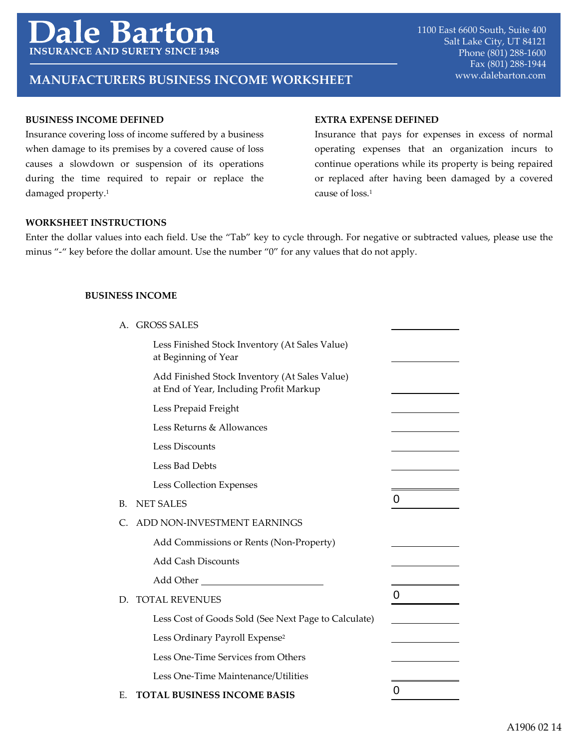# **Barto**  $\overline{\mathbf{P}}$ **INSURANCE AND SURETY**

# **MANUFACTURERS BUSINESS INCOME WORKSHEET** WWW.dalebarton.com

# **BUSINESS INCOME DEFINED**

Insurance covering loss of income suffered by a business when damage to its premises by a covered cause of loss causes a slowdown or suspension of its operations during the time required to repair or replace the damaged property.<sup>1</sup>

#### **EXTRA EXPENSE DEFINED**

Insurance that pays for expenses in excess of normal operating expenses that an organization incurs to continue operations while its property is being repaired or replaced after having been damaged by a covered cause of loss.1

#### **WORKSHEET INSTRUCTIONS**

Enter the dollar values into each field. Use the "Tab" key to cycle through. For negative or subtracted values, please use the minus "-" key before the dollar amount. Use the number "0" for any values that do not apply.

# **BUSINESS INCOME**

| А. | <b>GROSS SALES</b>                                                                                                                                                                                                            |   |
|----|-------------------------------------------------------------------------------------------------------------------------------------------------------------------------------------------------------------------------------|---|
|    | Less Finished Stock Inventory (At Sales Value)<br>at Beginning of Year                                                                                                                                                        |   |
|    | Add Finished Stock Inventory (At Sales Value)<br>at End of Year, Including Profit Markup                                                                                                                                      |   |
|    | Less Prepaid Freight                                                                                                                                                                                                          |   |
|    | Less Returns & Allowances                                                                                                                                                                                                     |   |
|    | Less Discounts                                                                                                                                                                                                                |   |
|    | Less Bad Debts                                                                                                                                                                                                                |   |
|    | Less Collection Expenses                                                                                                                                                                                                      |   |
| B. | <b>NET SALES</b>                                                                                                                                                                                                              | 0 |
| C. | ADD NON-INVESTMENT EARNINGS                                                                                                                                                                                                   |   |
|    | Add Commissions or Rents (Non-Property)                                                                                                                                                                                       |   |
|    | <b>Add Cash Discounts</b>                                                                                                                                                                                                     |   |
|    | Add Other and the state of the state of the state of the state of the state of the state of the state of the state of the state of the state of the state of the state of the state of the state of the state of the state of |   |
| D. | <b>TOTAL REVENUES</b>                                                                                                                                                                                                         | 0 |
|    | Less Cost of Goods Sold (See Next Page to Calculate)                                                                                                                                                                          |   |
|    | Less Ordinary Payroll Expense <sup>2</sup>                                                                                                                                                                                    |   |
|    | Less One-Time Services from Others                                                                                                                                                                                            |   |
|    | Less One-Time Maintenance/Utilities                                                                                                                                                                                           |   |
| E  | TOTAL BUSINESS INCOME BASIS                                                                                                                                                                                                   | O |